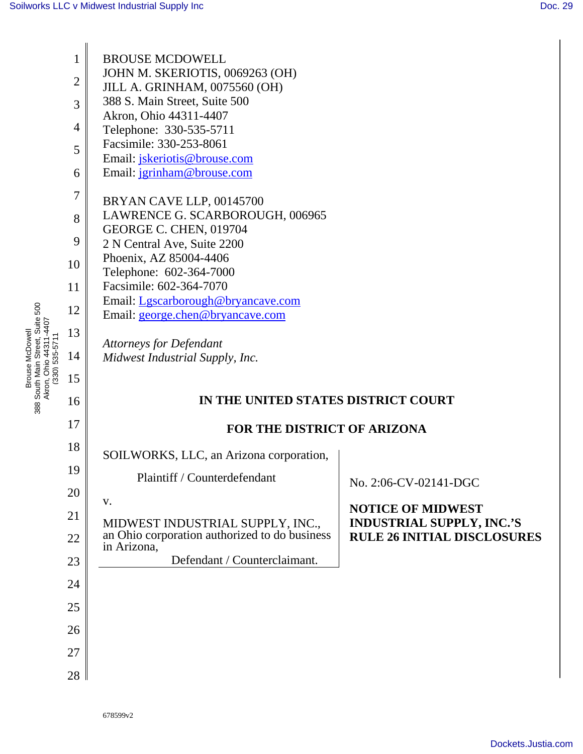| 388 South Main Street, Suite 500<br>Akron, Ohio 44311-4407<br><b>Brouse McDowel</b><br>$(330) 535 - 5711$ | 1<br>$\overline{2}$<br>3<br>4<br>5<br>6<br>$\overline{7}$<br>8<br>9<br>10<br>11<br>12<br>13<br>14<br>15<br>16<br>17<br>18<br>19<br>20 | <b>BROUSE MCDOWELL</b><br>JOHN M. SKERIOTIS, 0069263 (OH)<br>JILL A. GRINHAM, 0075560 (OH)<br>388 S. Main Street, Suite 500<br>Akron, Ohio 44311-4407<br>Telephone: 330-535-5711<br>Facsimile: 330-253-8061<br>Email: <i>jskeriotis@brouse.com</i><br>Email: jgrinham@brouse.com<br>BRYAN CAVE LLP, 00145700<br>LAWRENCE G. SCARBOROUGH, 006965<br><b>GEORGE C. CHEN, 019704</b><br>2 N Central Ave, Suite 2200<br>Phoenix, AZ 85004-4406<br>Telephone: 602-364-7000<br>Facsimile: 602-364-7070<br>Email: Lgscarborough@bryancave.com<br>Email: george.chen@bryancave.com<br>Attorneys for Defendant<br>Midwest Industrial Supply, Inc.<br>IN THE UNITED STATES DISTRICT COURT<br>FOR THE DISTRICT OF ARIZONA<br>SOILWORKS, LLC, an Arizona corporation,<br>Plaintiff / Counterdefendant<br>V. | No. 2:06-CV-02141-DGC<br><b>NOTICE OF MIDWEST</b> |
|-----------------------------------------------------------------------------------------------------------|---------------------------------------------------------------------------------------------------------------------------------------|------------------------------------------------------------------------------------------------------------------------------------------------------------------------------------------------------------------------------------------------------------------------------------------------------------------------------------------------------------------------------------------------------------------------------------------------------------------------------------------------------------------------------------------------------------------------------------------------------------------------------------------------------------------------------------------------------------------------------------------------------------------------------------------------|---------------------------------------------------|
|                                                                                                           |                                                                                                                                       |                                                                                                                                                                                                                                                                                                                                                                                                                                                                                                                                                                                                                                                                                                                                                                                                |                                                   |
|                                                                                                           |                                                                                                                                       |                                                                                                                                                                                                                                                                                                                                                                                                                                                                                                                                                                                                                                                                                                                                                                                                |                                                   |
|                                                                                                           |                                                                                                                                       |                                                                                                                                                                                                                                                                                                                                                                                                                                                                                                                                                                                                                                                                                                                                                                                                |                                                   |
|                                                                                                           | 21                                                                                                                                    | MIDWEST INDUSTRIAL SUPPLY, INC.,                                                                                                                                                                                                                                                                                                                                                                                                                                                                                                                                                                                                                                                                                                                                                               | <b>INDUSTRIAL SUPPLY, INC.'S</b>                  |
|                                                                                                           | 22                                                                                                                                    | an Ohio corporation authorized to do business<br>in Arizona,                                                                                                                                                                                                                                                                                                                                                                                                                                                                                                                                                                                                                                                                                                                                   | <b>RULE 26 INITIAL DISCLOSURES</b>                |
|                                                                                                           | 23                                                                                                                                    | Defendant / Counterclaimant.                                                                                                                                                                                                                                                                                                                                                                                                                                                                                                                                                                                                                                                                                                                                                                   |                                                   |
|                                                                                                           | 24                                                                                                                                    |                                                                                                                                                                                                                                                                                                                                                                                                                                                                                                                                                                                                                                                                                                                                                                                                |                                                   |
|                                                                                                           | 25                                                                                                                                    |                                                                                                                                                                                                                                                                                                                                                                                                                                                                                                                                                                                                                                                                                                                                                                                                |                                                   |
|                                                                                                           | 26                                                                                                                                    |                                                                                                                                                                                                                                                                                                                                                                                                                                                                                                                                                                                                                                                                                                                                                                                                |                                                   |
|                                                                                                           | 27                                                                                                                                    |                                                                                                                                                                                                                                                                                                                                                                                                                                                                                                                                                                                                                                                                                                                                                                                                |                                                   |
|                                                                                                           | 28                                                                                                                                    |                                                                                                                                                                                                                                                                                                                                                                                                                                                                                                                                                                                                                                                                                                                                                                                                |                                                   |

678599v2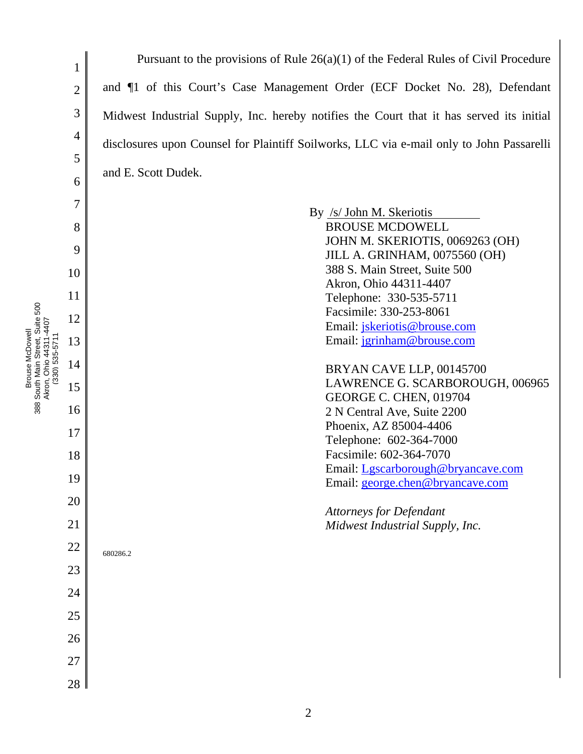1 2 3 4 5 6 7 8 9 23 24 25 26 27 28 Pursuant to the provisions of Rule 26(a)(1) of the Federal Rules of Civil Procedure and ¶1 of this Court's Case Management Order (ECF Docket No. 28), Defendant Midwest Industrial Supply, Inc. hereby notifies the Court that it has served its initial disclosures upon Counsel for Plaintiff Soilworks, LLC via e-mail only to John Passarelli and E. Scott Dudek. By /s/ John M. Skeriotis BROUSE MCDOWELL JOHN M. SKERIOTIS, 0069263 (OH) JILL A. GRINHAM, 0075560 (OH) 388 S. Main Street, Suite 500 Akron, Ohio 44311-4407 Telephone: 330-535-5711 Facsimile: 330-253-8061 Email: jskeriotis@brouse.com Email: jgrinham@brouse.com BRYAN CAVE LLP, 00145700 LAWRENCE G. SCARBOROUGH, 006965 GEORGE C. CHEN, 019704 2 N Central Ave, Suite 2200 Phoenix, AZ 85004-4406 Telephone: 602-364-7000 Facsimile: 602-364-7070 Email: Lgscarborough@bryancave.com Email: george.chen@bryancave.com *Attorneys for Defendant Midwest Industrial Supply, Inc.*  680286.2